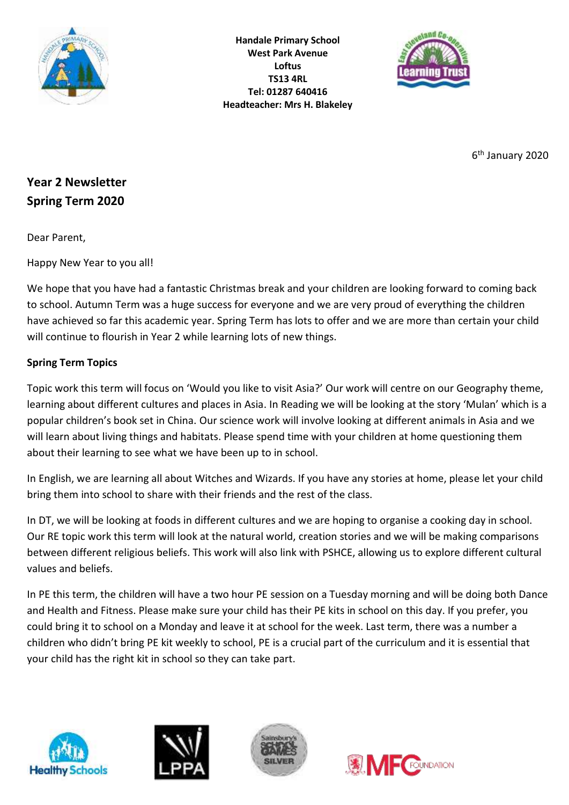

**Handale Primary School West Park Avenue Loftus TS13 4RL Tel: 01287 640416 Headteacher: Mrs H. Blakeley**



6 th January 2020

# **Year 2 Newsletter Spring Term 2020**

Dear Parent,

Happy New Year to you all!

We hope that you have had a fantastic Christmas break and your children are looking forward to coming back to school. Autumn Term was a huge success for everyone and we are very proud of everything the children have achieved so far this academic year. Spring Term has lots to offer and we are more than certain your child will continue to flourish in Year 2 while learning lots of new things.

## **Spring Term Topics**

Topic work this term will focus on 'Would you like to visit Asia?' Our work will centre on our Geography theme, learning about different cultures and places in Asia. In Reading we will be looking at the story 'Mulan' which is a popular children's book set in China. Our science work will involve looking at different animals in Asia and we will learn about living things and habitats. Please spend time with your children at home questioning them about their learning to see what we have been up to in school.

In English, we are learning all about Witches and Wizards. If you have any stories at home, please let your child bring them into school to share with their friends and the rest of the class.

In DT, we will be looking at foods in different cultures and we are hoping to organise a cooking day in school. Our RE topic work this term will look at the natural world, creation stories and we will be making comparisons between different religious beliefs. This work will also link with PSHCE, allowing us to explore different cultural values and beliefs.

In PE this term, the children will have a two hour PE session on a Tuesday morning and will be doing both Dance and Health and Fitness. Please make sure your child has their PE kits in school on this day. If you prefer, you could bring it to school on a Monday and leave it at school for the week. Last term, there was a number a children who didn't bring PE kit weekly to school, PE is a crucial part of the curriculum and it is essential that your child has the right kit in school so they can take part.